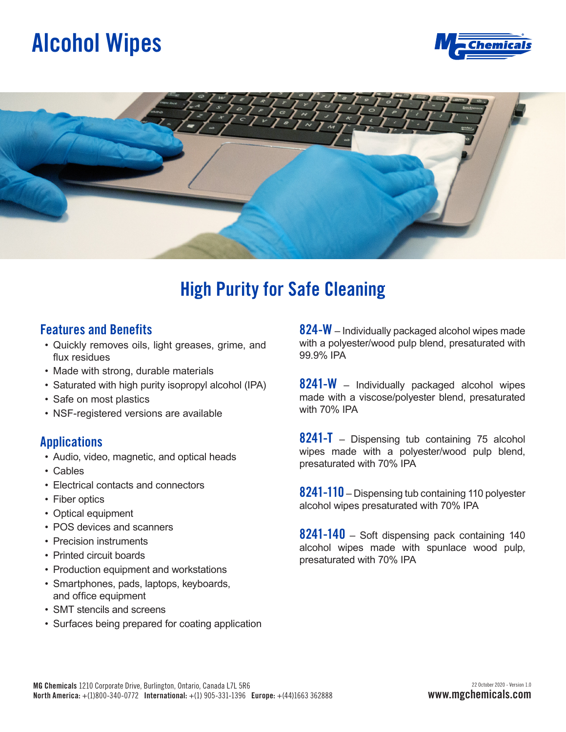## **Alcohol Wipes**





### **High Purity for Safe Cleaning**

#### **Features and Benefits**

- Quickly removes oils, light greases, grime, and flux residues
- Made with strong, durable materials
- Saturated with high purity isopropyl alcohol (IPA)
- Safe on most plastics
- NSF-registered versions are available

#### **Applications**

- Audio, video, magnetic, and optical heads
- Cables
- Electrical contacts and connectors
- Fiber optics
- Optical equipment
- POS devices and scanners
- Precision instruments
- Printed circuit boards
- Production equipment and workstations
- Smartphones, pads, laptops, keyboards, and office equipment
- SMT stencils and screens
- Surfaces being prepared for coating application

**824-W** – Individually packaged alcohol wipes made with a polyester/wood pulp blend, presaturated with 99.9% IPA

**8241-W** – Individually packaged alcohol wipes made with a viscose/polyester blend, presaturated with 70% IPA

**8241-T** – Dispensing tub containing 75 alcohol wipes made with a polyester/wood pulp blend, presaturated with 70% IPA

**8241-110** – Dispensing tub containing 110 polyester alcohol wipes presaturated with 70% IPA

**8241-140** – Soft dispensing pack containing 140 alcohol wipes made with spunlace wood pulp, presaturated with 70% IPA